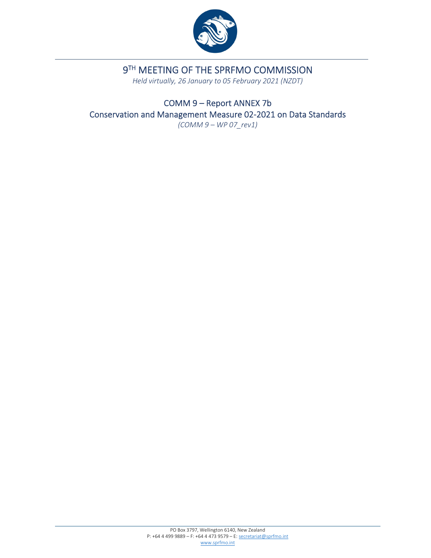

# 9TH MEETING OF THE SPRFMO COMMISSION

*Held virtually, 26 January to 05 February 2021 (NZDT)*

COMM 9 – Report ANNEX 7b Conservation and Management Measure 02‐2021 on Data Standards *(COMM 9 – WP 07\_rev1)*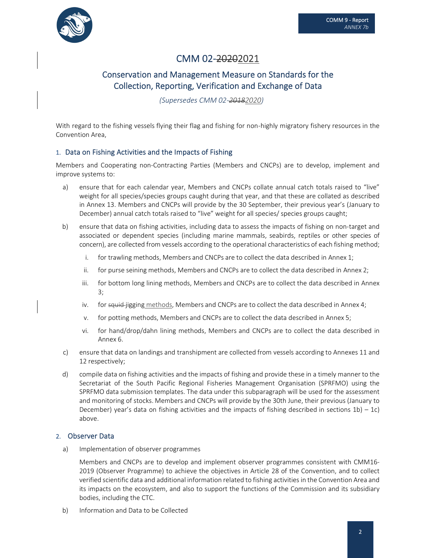

## CMM 02-20202021

### Conservation and Management Measure on Standards for the Collection, Reporting, Verification and Exchange of Data

*(Supersedes CMM 02‐20182020)*

With regard to the fishing vessels flying their flag and fishing for non-highly migratory fishery resources in the Convention Area,

### 1. Data on Fishing Activities and the Impacts of Fishing

Members and Cooperating non‐Contracting Parties (Members and CNCPs) are to develop, implement and improve systems to:

- a) ensure that for each calendar year, Members and CNCPs collate annual catch totals raised to "live" weight for all species/species groups caught during that year, and that these are collated as described in Annex 13. Members and CNCPs will provide by the 30 September, their previous year's (January to December) annual catch totals raised to "live" weight for all species/ species groups caught;
- b) ensure that data on fishing activities, including data to assess the impacts of fishing on non‐target and associated or dependent species (including marine mammals, seabirds, reptiles or other species of concern), are collected from vessels according to the operational characteristics of each fishing method;
	- i. for trawling methods, Members and CNCPs are to collect the data described in Annex 1;
	- ii. for purse seining methods, Members and CNCPs are to collect the data described in Annex 2;
	- iii. for bottom long lining methods, Members and CNCPs are to collect the data described in Annex 3;
	- iv. for squid-jigging methods, Members and CNCPs are to collect the data described in Annex 4;
	- v. for potting methods, Members and CNCPs are to collect the data described in Annex 5;
	- vi. for hand/drop/dahn lining methods, Members and CNCPs are to collect the data described in Annex 6.
- c) ensure that data on landings and transhipment are collected from vessels according to Annexes 11 and 12 respectively;
- d) compile data on fishing activities and the impacts of fishing and provide these in a timely manner to the Secretariat of the South Pacific Regional Fisheries Management Organisation (SPRFMO) using the SPRFMO data submission templates. The data under this subparagraph will be used for the assessment and monitoring of stocks. Members and CNCPs will provide by the 30th June, their previous (January to December) year's data on fishing activities and the impacts of fishing described in sections  $1b$ ) – 1c) above.

### 2. Observer Data

a) Implementation of observer programmes

Members and CNCPs are to develop and implement observer programmes consistent with CMM16‐ 2019 (Observer Programme) to achieve the objectives in Article 28 of the Convention, and to collect verified scientific data and additional information related to fishing activitiesin the Convention Area and its impacts on the ecosystem, and also to support the functions of the Commission and its subsidiary bodies, including the CTC.

b) Information and Data to be Collected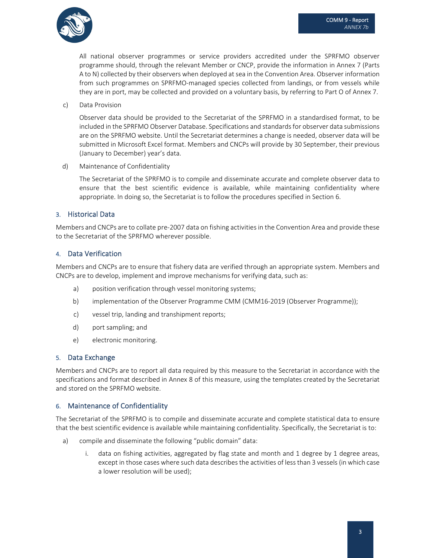

All national observer programmes or service providers accredited under the SPRFMO observer programme should, through the relevant Member or CNCP, provide the information in Annex 7 (Parts A to N) collected by their observers when deployed at sea in the Convention Area. Observer information from such programmes on SPRFMO-managed species collected from landings, or from vessels while they are in port, may be collected and provided on a voluntary basis, by referring to Part O of Annex 7.

c) Data Provision

Observer data should be provided to the Secretariat of the SPRFMO in a standardised format, to be included in the SPRFMO Observer Database. Specifications and standards for observer data submissions are on the SPRFMO website. Until the Secretariat determines a change is needed, observer data will be submitted in Microsoft Excel format. Members and CNCPs will provide by 30 September, their previous (January to December) year's data.

d) Maintenance of Confidentiality

The Secretariat of the SPRFMO is to compile and disseminate accurate and complete observer data to ensure that the best scientific evidence is available, while maintaining confidentiality where appropriate. In doing so, the Secretariat is to follow the procedures specified in Section 6.

### 3. Historical Data

Members and CNCPs are to collate pre‐2007 data on fishing activitiesin the Convention Area and provide these to the Secretariat of the SPRFMO wherever possible.

### 4. Data Verification

Members and CNCPs are to ensure that fishery data are verified through an appropriate system. Members and CNCPs are to develop, implement and improve mechanisms for verifying data, such as:

- a) position verification through vessel monitoring systems;
- b) implementation of the Observer Programme CMM (CMM16-2019 (Observer Programme));
- c) vessel trip, landing and transhipment reports;
- d) port sampling; and
- e) electronic monitoring.

### 5. Data Exchange

Members and CNCPs are to report all data required by this measure to the Secretariat in accordance with the specifications and format described in Annex 8 of this measure, using the templates created by the Secretariat and stored on the SPRFMO website.

### 6. Maintenance of Confidentiality

The Secretariat of the SPRFMO is to compile and disseminate accurate and complete statistical data to ensure that the best scientific evidence is available while maintaining confidentiality. Specifically, the Secretariat is to:

- a) compile and disseminate the following "public domain" data:
	- data on fishing activities, aggregated by flag state and month and 1 degree by 1 degree areas, except in those cases where such data describesthe activities of less than 3 vessels (in which case a lower resolution will be used);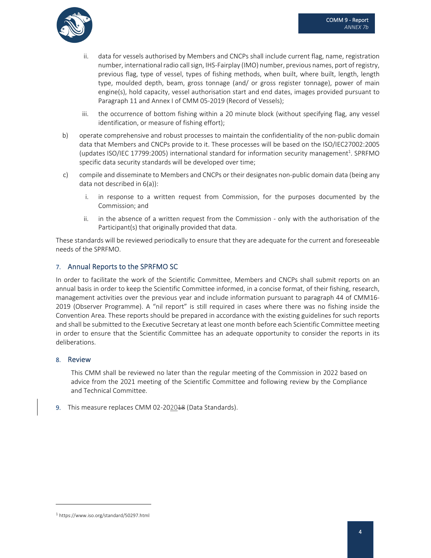

- ii. data for vessels authorised by Members and CNCPs shall include current flag, name, registration number, international radio call sign, IHS-Fairplay (IMO) number, previous names, port of registry, previous flag, type of vessel, types of fishing methods, when built, where built, length, length type, moulded depth, beam, gross tonnage (and/ or gross register tonnage), power of main engine(s), hold capacity, vessel authorisation start and end dates, images provided pursuant to Paragraph 11 and Annex I of CMM 05-2019 (Record of Vessels);
- iii. the occurrence of bottom fishing within a 20 minute block (without specifying flag, any vessel identification, or measure of fishing effort);
- b) operate comprehensive and robust processes to maintain the confidentiality of the non-public domain data that Members and CNCPs provide to it. These processes will be based on the ISO/IEC27002:2005 (updates ISO/IEC 17799:2005) international standard for information security management<sup>1</sup>. SPRFMO specific data security standards will be developed over time;
- c) compile and disseminate to Members and CNCPs or their designates non‐public domain data (being any data not described in 6(a)):
	- i. in response to a written request from Commission, for the purposes documented by the Commission; and
	- ii. in the absence of a written request from the Commission only with the authorisation of the Participant(s) that originally provided that data.

These standards will be reviewed periodically to ensure that they are adequate for the current and foreseeable needs of the SPRFMO.

### 7. Annual Reports to the SPRFMO SC

In order to facilitate the work of the Scientific Committee, Members and CNCPs shall submit reports on an annual basis in order to keep the Scientific Committee informed, in a concise format, of their fishing, research, management activities over the previous year and include information pursuant to paragraph 44 of CMM16‐ 2019 (Observer Programme). A "nil report" is still required in cases where there was no fishing inside the Convention Area. These reports should be prepared in accordance with the existing guidelines for such reports and shall be submitted to the Executive Secretary at least one month before each Scientific Committee meeting in order to ensure that the Scientific Committee has an adequate opportunity to consider the reports in its deliberations.

### 8. Review

This CMM shall be reviewed no later than the regular meeting of the Commission in 2022 based on advice from the 2021 meeting of the Scientific Committee and following review by the Compliance and Technical Committee.

9. This measure replaces CMM 02-202018 (Data Standards).

<sup>1</sup> https://www.iso.org/standard/50297.html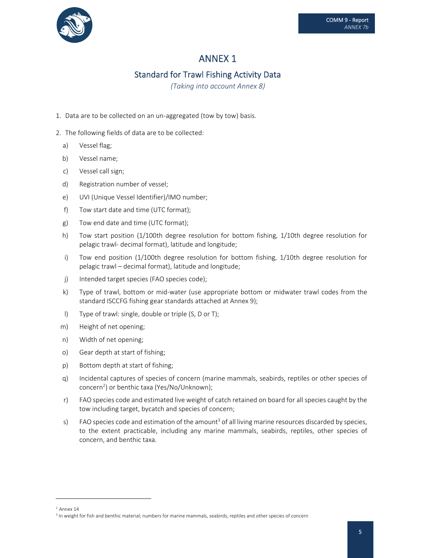

### Standard for Trawl Fishing Activity Data

*(Taking into account Annex 8)*

- 1. Data are to be collected on an un‐aggregated (tow by tow) basis.
- 2. The following fields of data are to be collected:
	- a) Vessel flag;
	- b) Vessel name;
	- c) Vessel call sign;
	- d) Registration number of vessel;
	- e) UVI (Unique Vessel Identifier)/IMO number;
	- f) Tow start date and time (UTC format);
	- g) Tow end date and time (UTC format);
	- h) Tow start position (1/100th degree resolution for bottom fishing, 1/10th degree resolution for pelagic trawl‐ decimal format), latitude and longitude;
	- i) Tow end position (1/100th degree resolution for bottom fishing, 1/10th degree resolution for pelagic trawl – decimal format), latitude and longitude;
	- j) Intended target species (FAO species code);
	- k) Type of trawl, bottom or mid‐water (use appropriate bottom or midwater trawl codes from the standard ISCCFG fishing gear standards attached at Annex 9);
	- l) Type of trawl: single, double or triple (S, D or T);
	- m) Height of net opening;
	- n) Width of net opening;
	- o) Gear depth at start of fishing;
	- p) Bottom depth at start of fishing;
	- q) Incidental captures of species of concern (marine mammals, seabirds, reptiles or other species of concern<sup>2</sup>) or benthic taxa (Yes/No/Unknown);
	- r) FAO species code and estimated live weight of catch retained on board for all species caught by the tow including target, bycatch and species of concern;
	- s) FAO species code and estimation of the amount<sup>3</sup> of all living marine resources discarded by species, to the extent practicable, including any marine mammals, seabirds, reptiles, other species of concern, and benthic taxa.

 $<sup>2</sup>$  Annex 14</sup>

<sup>&</sup>lt;sup>3</sup> In weight for fish and benthic material; numbers for marine mammals, seabirds, reptiles and other species of concern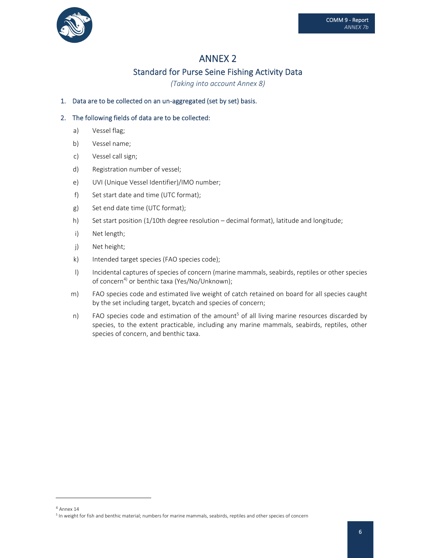

### Standard for Purse Seine Fishing Activity Data

*(Taking into account Annex 8)*

1. Data are to be collected on an un-aggregated (set by set) basis.

- a) Vessel flag;
- b) Vessel name;
- c) Vessel call sign;
- d) Registration number of vessel;
- e) UVI (Unique Vessel Identifier)/IMO number;
- f) Set start date and time (UTC format);
- g) Set end date time (UTC format);
- h) Set start position (1/10th degree resolution decimal format), latitude and longitude;
- i) Net length;
- j) Net height;
- k) Intended target species (FAO species code);
- l) Incidental captures of species of concern (marine mammals, seabirds, reptiles or other species of concern<sup>4)</sup> or benthic taxa (Yes/No/Unknown);
- m) FAO species code and estimated live weight of catch retained on board for all species caught by the set including target, bycatch and species of concern;
- n) FAO species code and estimation of the amount<sup>5</sup> of all living marine resources discarded by species, to the extent practicable, including any marine mammals, seabirds, reptiles, other species of concern, and benthic taxa.

<sup>4</sup> Annex 14

<sup>&</sup>lt;sup>5</sup> In weight for fish and benthic material; numbers for marine mammals, seabirds, reptiles and other species of concern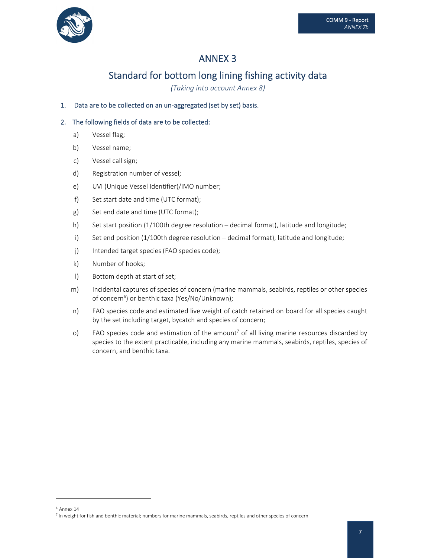

# Standard for bottom long lining fishing activity data

*(Taking into account Annex 8)*

### 1. Data are to be collected on an un-aggregated (set by set) basis.

- a) Vessel flag;
- b) Vessel name;
- c) Vessel call sign;
- d) Registration number of vessel;
- e) UVI (Unique Vessel Identifier)/IMO number;
- f) Set start date and time (UTC format);
- g) Set end date and time (UTC format);
- h) Set start position (1/100th degree resolution decimal format), latitude and longitude;
- i) Set end position (1/100th degree resolution decimal format), latitude and longitude;
- j) Intended target species (FAO species code);
- k) Number of hooks;
- l) Bottom depth at start of set;
- m) Incidental captures of species of concern (marine mammals, seabirds, reptiles or other species of concern<sup>6</sup>) or benthic taxa (Yes/No/Unknown);
- n) FAO species code and estimated live weight of catch retained on board for all species caught by the set including target, bycatch and species of concern;
- o) FAO species code and estimation of the amount<sup>7</sup> of all living marine resources discarded by species to the extent practicable, including any marine mammals, seabirds, reptiles, species of concern, and benthic taxa.

 $6$  Annex 14

 $^7$  In weight for fish and benthic material; numbers for marine mammals, seabirds, reptiles and other species of concern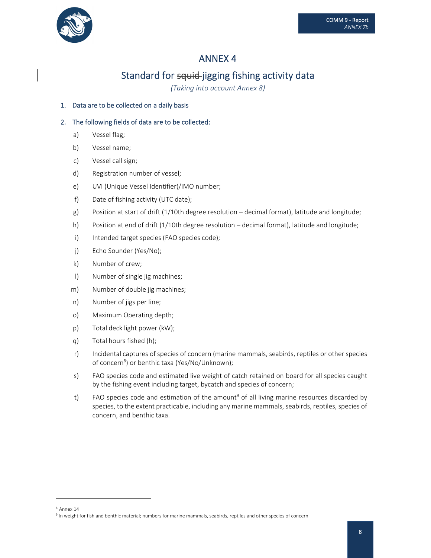

# Standard for squid-jigging fishing activity data

*(Taking into account Annex 8)*

### 1. Data are to be collected on a daily basis

- a) Vessel flag;
- b) Vessel name;
- c) Vessel call sign;
- d) Registration number of vessel;
- e) UVI (Unique Vessel Identifier)/IMO number;
- f) Date of fishing activity (UTC date);
- g) Position at start of drift (1/10th degree resolution decimal format), latitude and longitude;
- h) Position at end of drift (1/10th degree resolution decimal format), latitude and longitude;
- i) Intended target species (FAO species code);
- j) Echo Sounder (Yes/No);
- k) Number of crew;
- l) Number of single jig machines;
- m) Number of double jig machines;
- n) Number of jigs per line;
- o) Maximum Operating depth;
- p) Total deck light power (kW);
- q) Total hours fished (h);
- r) Incidental captures of species of concern (marine mammals, seabirds, reptiles or other species of concern<sup>8</sup>) or benthic taxa (Yes/No/Unknown);
- s) FAO species code and estimated live weight of catch retained on board for all species caught by the fishing event including target, bycatch and species of concern;
- t) FAO species code and estimation of the amount<sup>9</sup> of all living marine resources discarded by species, to the extent practicable, including any marine mammals, seabirds, reptiles, species of concern, and benthic taxa.

<sup>8</sup> Annex 14

<sup>&</sup>lt;sup>9</sup> In weight for fish and benthic material; numbers for marine mammals, seabirds, reptiles and other species of concern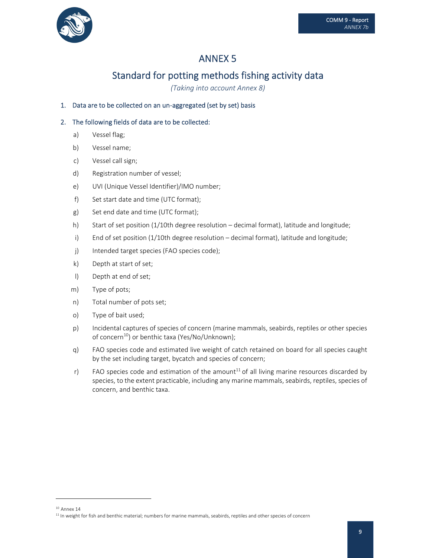

# Standard for potting methods fishing activity data

*(Taking into account Annex 8)*

### 1. Data are to be collected on an un‐aggregated (set by set) basis

- a) Vessel flag;
- b) Vessel name;
- c) Vessel call sign;
- d) Registration number of vessel;
- e) UVI (Unique Vessel Identifier)/IMO number;
- f) Set start date and time (UTC format);
- g) Set end date and time (UTC format);
- h) Start of set position (1/10th degree resolution decimal format), latitude and longitude;
- i) End of set position (1/10th degree resolution decimal format), latitude and longitude;
- j) Intended target species (FAO species code);
- k) Depth at start of set;
- l) Depth at end of set;
- m) Type of pots;
- n) Total number of pots set;
- o) Type of bait used;
- p) Incidental captures of species of concern (marine mammals, seabirds, reptiles or other species of concern<sup>10</sup>) or benthic taxa (Yes/No/Unknown);
- q) FAO species code and estimated live weight of catch retained on board for all species caught by the set including target, bycatch and species of concern;
- r) FAO species code and estimation of the amount<sup>11</sup> of all living marine resources discarded by species, to the extent practicable, including any marine mammals, seabirds, reptiles, species of concern, and benthic taxa.

 $10$  Annex 14

 $11$  In weight for fish and benthic material; numbers for marine mammals, seabirds, reptiles and other species of concern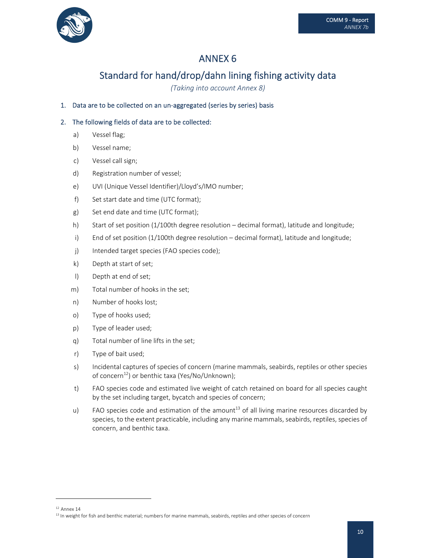

# Standard for hand/drop/dahn lining fishing activity data

*(Taking into account Annex 8)*

### 1. Data are to be collected on an un-aggregated (series by series) basis

- a) Vessel flag;
- b) Vessel name;
- c) Vessel call sign;
- d) Registration number of vessel;
- e) UVI (Unique Vessel Identifier)/Lloyd's/IMO number;
- f) Set start date and time (UTC format);
- g) Set end date and time (UTC format);
- h) Start of set position (1/100th degree resolution decimal format), latitude and longitude;
- i) End of set position (1/100th degree resolution decimal format), latitude and longitude;
- j) Intended target species (FAO species code);
- k) Depth at start of set;
- l) Depth at end of set;
- m) Total number of hooks in the set;
- n) Number of hooks lost;
- o) Type of hooks used;
- p) Type of leader used;
- q) Total number of line lifts in the set;
- r) Type of bait used;
- s) Incidental captures of species of concern (marine mammals, seabirds, reptiles or other species of concern<sup>12</sup>) or benthic taxa (Yes/No/Unknown);
- t) FAO species code and estimated live weight of catch retained on board for all species caught by the set including target, bycatch and species of concern;
- u) FAO species code and estimation of the amount<sup>13</sup> of all living marine resources discarded by species, to the extent practicable, including any marine mammals, seabirds, reptiles, species of concern, and benthic taxa.

 $12$  Annex 14

<sup>&</sup>lt;sup>13</sup> In weight for fish and benthic material; numbers for marine mammals, seabirds, reptiles and other species of concern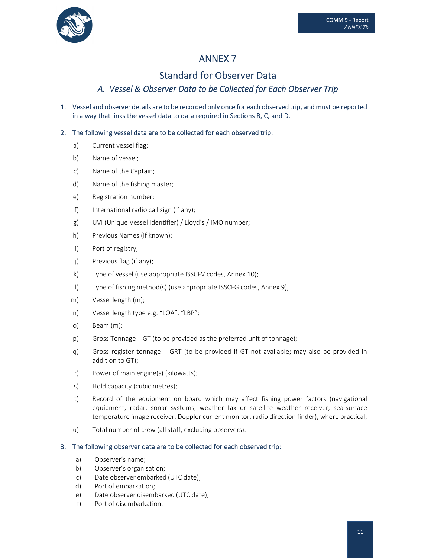



# Standard for Observer Data

### A. Vessel & Observer Data to be Collected for Each Observer Trip

1. Vessel and observer details are to be recorded only once for each observed trip, and must be reported in a way that links the vessel data to data required in Sections B, C, and D.

### 2. The following vessel data are to be collected for each observed trip:

- a) Current vessel flag;
- b) Name of vessel;
- c) Name of the Captain;
- d) Name of the fishing master;
- e) Registration number;
- f) International radio call sign (if any);
- g) UVI (Unique Vessel Identifier) / Lloyd's / IMO number;
- h) Previous Names (if known);
- i) Port of registry;
- j) Previous flag (if any);
- k) Type of vessel (use appropriate ISSCFV codes, Annex 10);
- l) Type of fishing method(s) (use appropriate ISSCFG codes, Annex 9);
- m) Vessel length (m);
- n) Vessel length type e.g. "LOA", "LBP";
- o) Beam (m);
- p) Gross Tonnage GT (to be provided as the preferred unit of tonnage);
- q) Gross register tonnage GRT (to be provided if GT not available; may also be provided in addition to GT);
- r) Power of main engine(s) (kilowatts);
- s) Hold capacity (cubic metres);
- t) Record of the equipment on board which may affect fishing power factors (navigational equipment, radar, sonar systems, weather fax or satellite weather receiver, sea-surface temperature image receiver, Doppler current monitor, radio direction finder), where practical;
- u) Total number of crew (all staff, excluding observers).

#### 3. The following observer data are to be collected for each observed trip:

- a) Observer's name;
- b) Observer's organisation;
- c) Date observer embarked (UTC date);
- d) Port of embarkation;
- e) Date observer disembarked (UTC date);
- f) Port of disembarkation.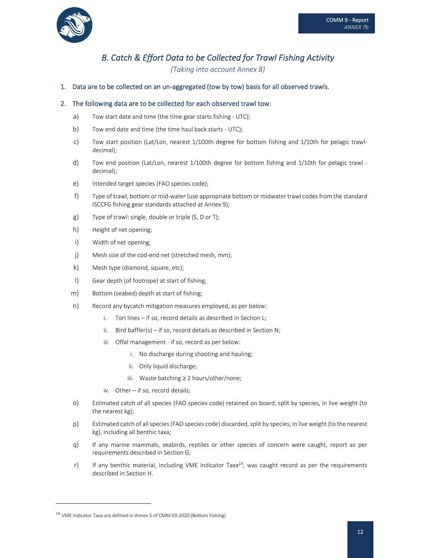

### B. Catch & Effort Data to be Collected for Trawl Fishing Activity

*(Taking into account Annex 8)*

#### 1. Data are to be collected on an un‐aggregated (tow by tow) basis for all observed trawls.

#### 2. The following data are to be collected for each observed trawl tow:

- a) Tow start date and time (the time gear starts fishing UTC);
- b) Tow end date and time (the time haul back starts UTC);
- c) Tow start position (Lat/Lon, nearest 1/100th degree for bottom fishing and 1/10th for pelagic trawl‐ decimal);
- d) Tow end position (Lat/Lon, nearest 1/100th degree for bottom fishing and 1/10th for pelagic trawl decimal);
- e) Intended target species (FAO species code);
- f) Type of trawl, bottom or mid‐water (use appropriate bottom or midwater trawl codes from the standard ISCCFG fishing gear standards attached at Annex 9);
- g) Type of trawl: single, double or triple (S, D or T);
- h) Height of net opening;
- i) Width of net opening;
- j) Mesh size of the cod-end net (stretched mesh, mm);
- k) Mesh type (diamond, square, etc);
- l) Gear depth (of footrope) at start of fishing;
- m) Bottom (seabed) depth at start of fishing;
- n) Record any bycatch mitigation measures employed, as per below:
	- i. Tori lines if so, record details as described in Section L;
	- ii. Bird baffler(s) if so, record details as described in Section N;
	- iii. Offal management if so, record as per below:
		- i. No discharge during shooting and hauling;
		- ii. Only liquid discharge;
		- iii. Waste batching ≥ 2 hours/other/none;
	- iv. Other if so, record details;
- o) Estimated catch of all species (FAO species code) retained on board, split by species, in live weight (to the nearest kg);
- p) Estimated catch of allspecies(FAO species code) discarded,split by species, in live weight (to the nearest kg), including all benthic taxa;
- q) If any marine mammals, seabirds, reptiles or other species of concern were caught, report as per requirements described in Section G;
- r) If any benthic material, including VME Indicator Taxa<sup>14</sup>, was caught record as per the requirements described in Section H.

<sup>&</sup>lt;sup>14</sup> VME Indicator Taxa are defined in Annex 5 of CMM 03-2020 (Bottom Fishing)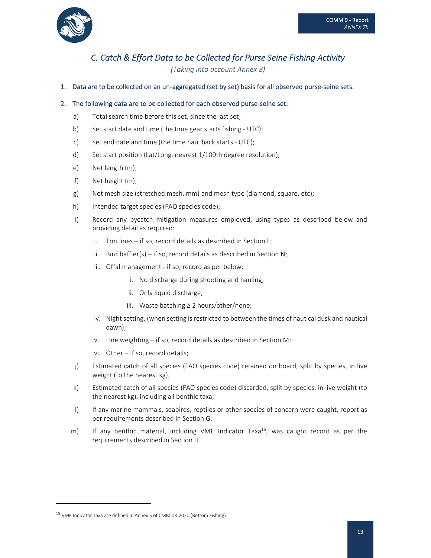

### C. Catch & Effort Data to be Collected for Purse Seine Fishing Activity

*(Taking into account Annex 8)*

#### 1. Data are to be collected on an un-aggregated (set by set) basis for all observed purse-seine sets.

#### 2. The following data are to be collected for each observed purse-seine set:

- a) Total search time before this set, since the last set;
- b) Set start date and time (the time gear starts fishing UTC);
- c) Set end date and time (the time haul back starts ‐ UTC);
- d) Set start position (Lat/Long, nearest 1/100th degree resolution);
- e) Net length (m);
- f) Net height (m);
- g) Net mesh size (stretched mesh, mm) and mesh type (diamond, square, etc);
- h) Intended target species (FAO species code);
- i) Record any bycatch mitigation measures employed, using types as described below and providing detail as required:
	- i. Tori lines if so, record details as described in Section L;
	- ii. Bird baffler(s) if so, record details as described in Section N;
	- iii. Offal management if so, record as per below:
		- i. No discharge during shooting and hauling;
		- ii. Only liquid discharge;
		- iii. Waste batching ≥ 2 hours/other/none;
	- iv. Night setting, (when setting is restricted to between the times of nautical dusk and nautical dawn);
	- v. Line weighting if so, record details as described in Section M;
	- vi. Other if so, record details;
- j) Estimated catch of all species (FAO species code) retained on board, split by species, in live weight (to the nearest kg);
- k) Estimated catch of all species (FAO species code) discarded, split by species, in live weight (to the nearest kg), including all benthic taxa;
- I) If any marine mammals, seabirds, reptiles or other species of concern were caught, report as per requirements described in Section G;
- m) If any benthic material, including VME Indicator Taxa<sup>15</sup>, was caught record as per the requirements described in Section H.

<sup>&</sup>lt;sup>15</sup> VME Indicator Taxa are defined in Annex 5 of CMM 03-2020 (Bottom Fishing)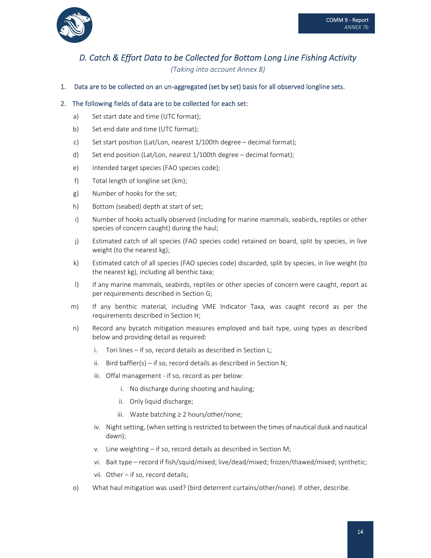

### D. Catch & Effort Data to be Collected for Bottom Long Line Fishing Activity

*(Taking into account Annex 8)*

1. Data are to be collected on an un‐aggregated (set by set) basis for all observed longline sets.

### 2. The following fields of data are to be collected for each set:

- a) Set start date and time (UTC format);
- b) Set end date and time (UTC format);
- c) Set start position (Lat/Lon, nearest 1/100th degree decimal format);
- d) Set end position (Lat/Lon, nearest 1/100th degree decimal format);
- e) Intended target species (FAO species code);
- f) Total length of longline set (km);
- g) Number of hooks for the set;
- h) Bottom (seabed) depth at start of set;
- i) Number of hooks actually observed (including for marine mammals, seabirds, reptiles or other species of concern caught) during the haul;
- j) Estimated catch of all species (FAO species code) retained on board, split by species, in live weight (to the nearest kg);
- k) Estimated catch of all species (FAO species code) discarded, split by species, in live weight (to the nearest kg), including all benthic taxa;
- I) If any marine mammals, seabirds, reptiles or other species of concern were caught, report as per requirements described in Section G;
- m) If any benthic material, including VME Indicator Taxa, was caught record as per the requirements described in Section H;
- n) Record any bycatch mitigation measures employed and bait type, using types as described below and providing detail as required:
	- i. Tori lines if so, record details as described in Section L;
	- ii. Bird baffler(s) if so, record details as described in Section N;
	- iii. Offal management if so, record as per below:
		- i. No discharge during shooting and hauling;
		- ii. Only liquid discharge;
		- iii. Waste batching ≥ 2 hours/other/none;
	- iv. Night setting, (when setting is restricted to between the times of nautical dusk and nautical dawn);
	- v. Line weighting if so, record details as described in Section M;
	- vi. Bait type record if fish/squid/mixed; live/dead/mixed; frozen/thawed/mixed; synthetic;
	- vii. Other if so, record details;
- o) What haul mitigation was used? (bird deterrent curtains/other/none). If other, describe.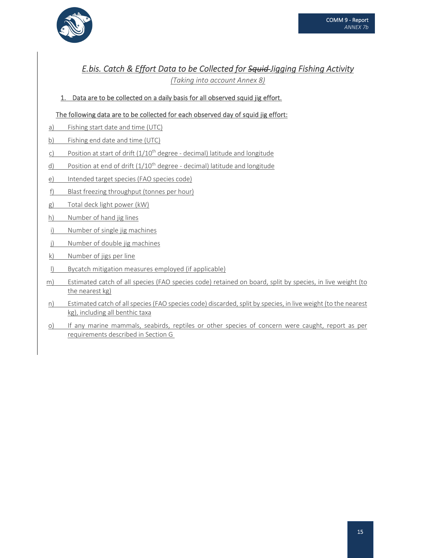

### E.bis. Catch & Effort Data to be Collected for Squid-Jigging Fishing Activity

*(Taking into account Annex 8)*

### 1. Data are to be collected on a daily basis for all observed squid jig effort.

### The following data are to be collected for each observed day of squid jig effort:

- a) Fishing start date and time (UTC)
- b) Fishing end date and time (UTC)
- c) Position at start of drift  $(1/10<sup>th</sup>$  degree decimal) latitude and longitude
- d) Position at end of drift  $(1/10<sup>th</sup>$  degree decimal) latitude and longitude
- e) Intended target species (FAO species code)
- f) Blast freezing throughput (tonnes per hour)
- g) Total deck light power (kW)
- h) Number of hand jig lines
- i) Number of single jig machines
- j) Number of double jig machines
- k) Number of jigs per line
- l) Bycatch mitigation measures employed (if applicable)
- m) Estimated catch of all species (FAO species code) retained on board, split by species, in live weight (to the nearest kg)
- n) Estimated catch of all species (FAO species code) discarded, split by species, in live weight (to the nearest kg), including all benthic taxa
- o) If any marine mammals, seabirds, reptiles or other species of concern were caught, report as per requirements described in Section G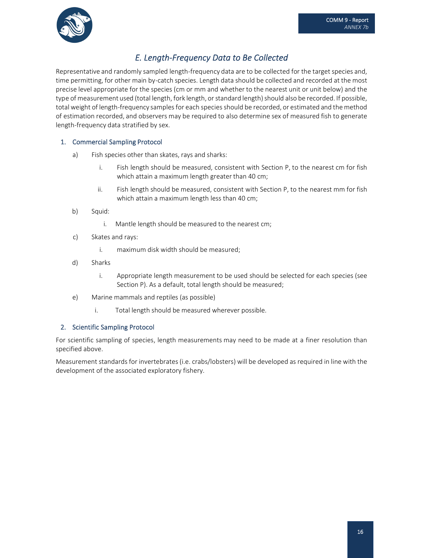

### *E. Length‐Frequency Data to Be Collected*

Representative and randomly sampled length-frequency data are to be collected for the target species and, time permitting, for other main by-catch species. Length data should be collected and recorded at the most precise level appropriate for the species (cm or mm and whether to the nearest unit or unit below) and the type of measurement used (total length, fork length, or standard length) should also be recorded. If possible, total weight of length‐frequency samplesfor each speciesshould be recorded, or estimated and the method of estimation recorded, and observers may be required to also determine sex of measured fish to generate length‐frequency data stratified by sex.

### 1. Commercial Sampling Protocol

- a) Fish species other than skates, rays and sharks:
	- i. Fish length should be measured, consistent with Section P, to the nearest cm for fish which attain a maximum length greater than 40 cm;
	- ii. Fish length should be measured, consistent with Section P, to the nearest mm for fish which attain a maximum length less than 40 cm;
- b) Squid:
	- i. Mantle length should be measured to the nearest cm;
- c) Skates and rays:
	- i. maximum disk width should be measured;
- d) Sharks
	- i. Appropriate length measurement to be used should be selected for each species (see Section P). As a default, total length should be measured;
- e) Marine mammals and reptiles (as possible)
	- i. Total length should be measured wherever possible.

### 2. Scientific Sampling Protocol

For scientific sampling of species, length measurements may need to be made at a finer resolution than specified above.

Measurement standards for invertebrates (i.e. crabs/lobsters) will be developed as required in line with the development of the associated exploratory fishery.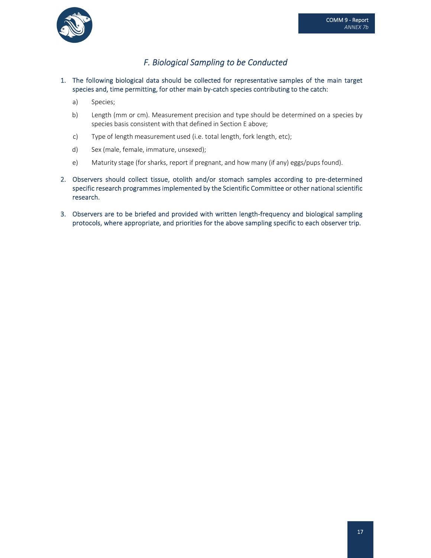

### *F. Biological Sampling to be Conducted*

### 1. The following biological data should be collected for representative samples of the main target species and, time permitting, for other main by-catch species contributing to the catch:

- a) Species;
- b) Length (mm or cm). Measurement precision and type should be determined on a species by species basis consistent with that defined in Section E above;
- c) Type of length measurement used (i.e. total length, fork length, etc);
- d) Sex (male, female, immature, unsexed);
- e) Maturity stage (for sharks, report if pregnant, and how many (if any) eggs/pups found).
- 2. Observers should collect tissue, otolith and/or stomach samples according to pre-determined specific research programmes implemented by the Scientific Committee or other national scientific research.
- 3. Observers are to be briefed and provided with written length‐frequency and biological sampling protocols, where appropriate, and priorities for the above sampling specific to each observer trip.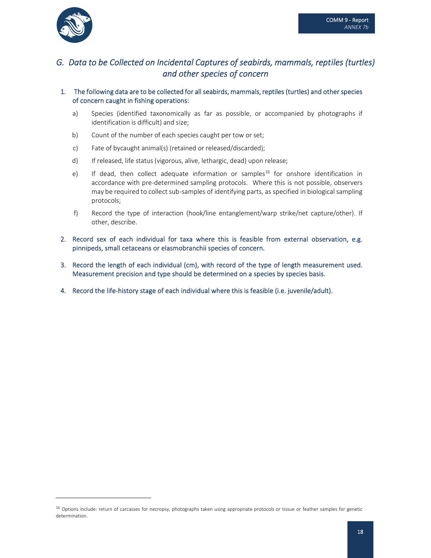

### G. Data to be Collected on Incidental Captures of seabirds, mammals, reptiles (turtles) *and other species of concern*

### 1. The following data are to be collected for all seabirds, mammals, reptiles (turtles) and other species of concern caught in fishing operations:

- a) Species (identified taxonomically as far as possible, or accompanied by photographs if identification is difficult) and size;
- b) Count of the number of each species caught per tow or set;
- c) Fate of bycaught animal(s) (retained or released/discarded);
- d) If released, life status (vigorous, alive, lethargic, dead) upon release;
- e) If dead, then collect adequate information or samples<sup>16</sup> for onshore identification in accordance with pre‐determined sampling protocols. Where this is not possible, observers may be required to collect sub‐samples of identifying parts, as specified in biological sampling protocols;
- f) Record the type of interaction (hook/line entanglement/warp strike/net capture/other). If other, describe.
- 2. Record sex of each individual for taxa where this is feasible from external observation, e.g. pinnipeds, small cetaceans or elasmobranchii species of concern.
- 3. Record the length of each individual (cm), with record of the type of length measurement used. Measurement precision and type should be determined on a species by species basis.
- 4. Record the life‐history stage of each individual where this is feasible (i.e. juvenile/adult).

<sup>&</sup>lt;sup>16</sup> Options include: return of carcasses for necropsy, photographs taken using appropriate protocols or tissue or feather samples for genetic determination.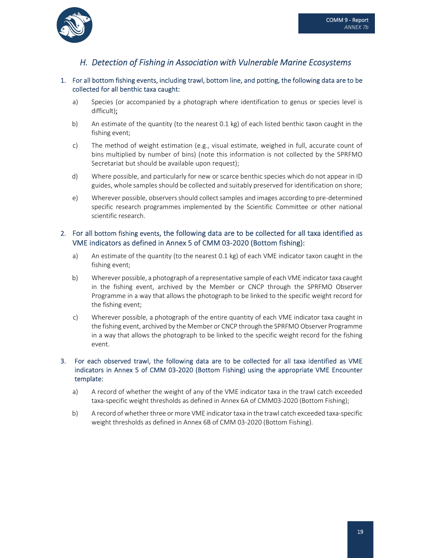

### *H. Detection of Fishing in Association with Vulnerable Marine Ecosystems*

#### 1. For all bottom fishing events, including trawl, bottom line, and potting, the following data are to be collected for all benthic taxa caught:

- a) Species (or accompanied by a photograph where identification to genus or species level is difficult);
- b) An estimate of the quantity (to the nearest 0.1 kg) of each listed benthic taxon caught in the fishing event;
- c) The method of weight estimation (e.g., visual estimate, weighed in full, accurate count of bins multiplied by number of bins) (note this information is not collected by the SPRFMO Secretariat but should be available upon request);
- d) Where possible, and particularly for new or scarce benthic species which do not appear in ID guides, whole samples should be collected and suitably preserved for identification on shore;
- e) Wherever possible, observersshould collectsamples and images according to pre‐determined specific research programmes implemented by the Scientific Committee or other national scientific research.

### 2. For all bottom fishing events, the following data are to be collected for all taxa identified as VME indicators as defined in Annex 5 of CMM 03‐2020 (Bottom fishing):

- a) An estimate of the quantity (to the nearest 0.1 kg) of each VME indicator taxon caught in the fishing event;
- b) Wherever possible, a photograph of a representative sample of each VME indicator taxa caught in the fishing event, archived by the Member or CNCP through the SPRFMO Observer Programme in a way that allows the photograph to be linked to the specific weight record for the fishing event;
- c) Wherever possible, a photograph of the entire quantity of each VME indicator taxa caught in the fishing event, archived by the Member or CNCP through the SPRFMO Observer Programme in a way that allows the photograph to be linked to the specific weight record for the fishing event.

### 3. For each observed trawl, the following data are to be collected for all taxa identified as VME indicators in Annex 5 of CMM 03‐2020 (Bottom Fishing) using the appropriate VME Encounter template:

- a) A record of whether the weight of any of the VME indicator taxa in the trawl catch exceeded taxa‐specific weight thresholds as defined in Annex 6A of CMM03‐2020 (Bottom Fishing);
- b) A record of whether three or more VME indicator taxa in the trawl catch exceeded taxa-specific weight thresholds as defined in Annex 6B of CMM 03-2020 (Bottom Fishing).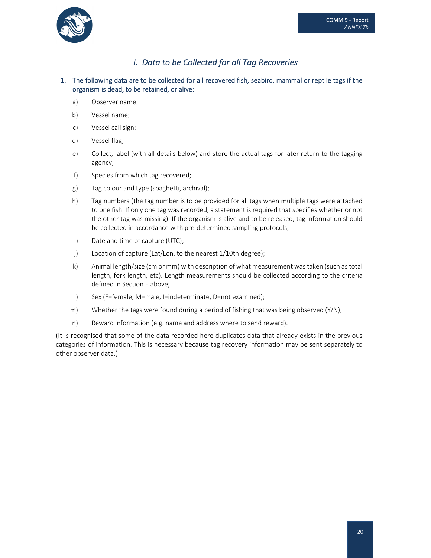

### *I. Data to be Collected for all Tag Recoveries*

### 1. The following data are to be collected for all recovered fish, seabird, mammal or reptile tags if the organism is dead, to be retained, or alive:

- a) Observer name;
- b) Vessel name;
- c) Vessel call sign;
- d) Vessel flag;
- e) Collect, label (with all details below) and store the actual tags for later return to the tagging agency;
- f) Species from which tag recovered;
- g) Tag colour and type (spaghetti, archival);
- h) Tag numbers (the tag number is to be provided for all tags when multiple tags were attached to one fish. If only one tag was recorded, a statement is required that specifies whether or not the other tag was missing). If the organism is alive and to be released, tag information should be collected in accordance with pre‐determined sampling protocols;
- i) Date and time of capture (UTC);
- j) Location of capture (Lat/Lon, to the nearest 1/10th degree);
- k) Animal length/size (cm or mm) with description of what measurement wastaken (such as total length, fork length, etc). Length measurements should be collected according to the criteria defined in Section E above;
- l) Sex (F=female, M=male, I=indeterminate, D=not examined);
- m) Whether the tags were found during a period of fishing that was being observed (Y/N);
- n) Reward information (e.g. name and address where to send reward).

(It is recognised that some of the data recorded here duplicates data that already exists in the previous categories of information. This is necessary because tag recovery information may be sent separately to other observer data.)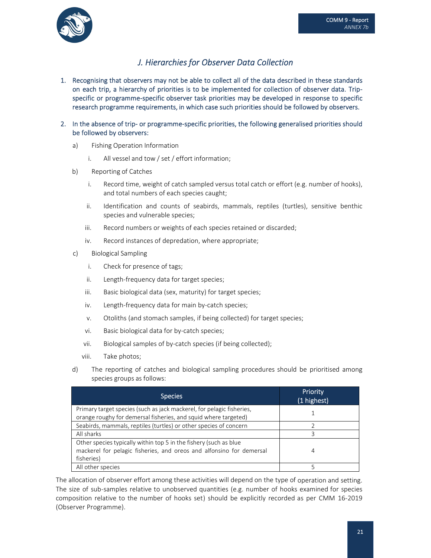

### *J. Hierarchies for Observer Data Collection*

- 1. Recognising that observers may not be able to collect all of the data described in these standards on each trip, a hierarchy of priorities is to be implemented for collection of observer data. Trip‐ specific or programme‐specific observer task priorities may be developed in response to specific research programme requirements, in which case such priorities should be followed by observers.
- 2. In the absence of trip- or programme-specific priorities, the following generalised priorities should be followed by observers:
	- a) Fishing Operation Information
		- i. All vessel and tow / set / effort information;
	- b) Reporting of Catches
		- i. Record time, weight of catch sampled versus total catch or effort (e.g. number of hooks), and total numbers of each species caught;
		- ii. Identification and counts of seabirds, mammals, reptiles (turtles), sensitive benthic species and vulnerable species;
		- iii. Record numbers or weights of each species retained or discarded;
		- iv. Record instances of depredation, where appropriate;
	- c) Biological Sampling
		- i. Check for presence of tags;
		- ii. Length‐frequency data for target species;
		- iii. Basic biological data (sex, maturity) for target species;
		- iv. Length-frequency data for main by-catch species;
		- v. Otoliths (and stomach samples, if being collected) for target species;
		- vi. Basic biological data for by-catch species;
		- vii. Biological samples of by‐catch species (if being collected);
		- viii. Take photos;
	- d) The reporting of catches and biological sampling procedures should be prioritised among species groups as follows:

| <b>Species</b>                                                        | Priority<br>(1 highest) |
|-----------------------------------------------------------------------|-------------------------|
| Primary target species (such as jack mackerel, for pelagic fisheries, |                         |
| orange roughy for demersal fisheries, and squid where targeted)       |                         |
| Seabirds, mammals, reptiles (turtles) or other species of concern     |                         |
| All sharks                                                            |                         |
| Other species typically within top 5 in the fishery (such as blue     |                         |
| mackerel for pelagic fisheries, and oreos and alfonsino for demersal  | 4                       |
| fisheries)                                                            |                         |
| All other species                                                     |                         |

The allocation of observer effort among these activities will depend on the type of operation and setting. The size of sub-samples relative to unobserved quantities (e.g. number of hooks examined for species composition relative to the number of hooks set) should be explicitly recorded as per CMM 16‐2019 (Observer Programme).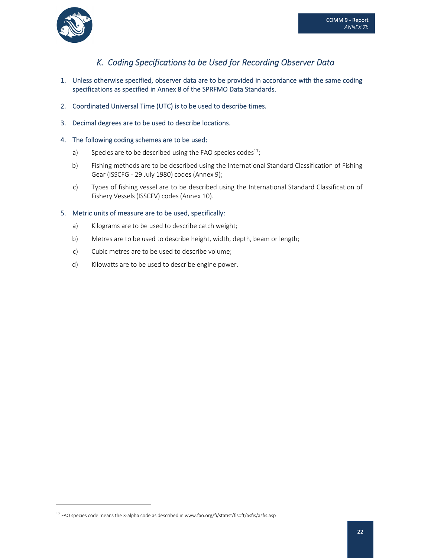

### *K. Coding Specifications to be Used for Recording Observer Data*

- 1. Unless otherwise specified, observer data are to be provided in accordance with the same coding specifications as specified in Annex 8 of the SPRFMO Data Standards.
- 2. Coordinated Universal Time (UTC) is to be used to describe times.
- 3. Decimal degrees are to be used to describe locations.

### 4. The following coding schemes are to be used:

- a) Species are to be described using the FAO species codes<sup>17</sup>;
- b) Fishing methods are to be described using the International Standard Classification of Fishing Gear (ISSCFG ‐ 29 July 1980) codes (Annex 9);
- c) Types of fishing vessel are to be described using the International Standard Classification of Fishery Vessels (ISSCFV) codes (Annex 10).

#### 5. Metric units of measure are to be used, specifically:

- a) Kilograms are to be used to describe catch weight;
- b) Metres are to be used to describe height, width, depth, beam or length;
- c) Cubic metres are to be used to describe volume;
- d) Kilowatts are to be used to describe engine power.

<sup>&</sup>lt;sup>17</sup> FAO species code means the 3-alpha code as described in www.fao.org/fi/statist/fisoft/asfis/asfis.asp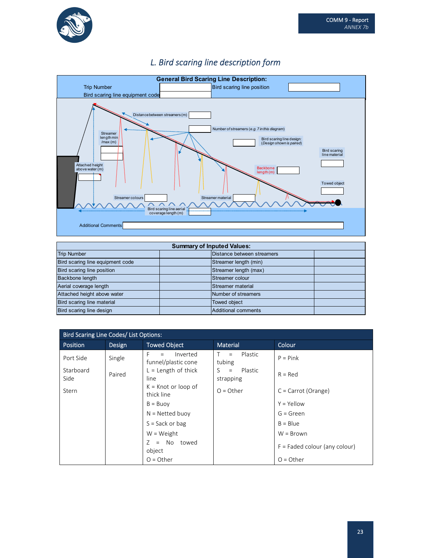



### *L. Bird scaring line description form*

| <b>Summary of Inputed Values:</b> |  |                            |  |
|-----------------------------------|--|----------------------------|--|
| <b>Trip Number</b>                |  | Distance between streamers |  |
| Bird scaring line equipment code  |  | Streamer length (min)      |  |
| Bird scaring line position        |  | Streamer length (max)      |  |
| Backbone length                   |  | Streamer colour            |  |
| Aerial coverage length            |  | Streamer material          |  |
| Attached height above water       |  | Number of streamers        |  |
| Bird scaring line material        |  | Towed object               |  |
| Bird scaring line design          |  | <b>Additional comments</b> |  |

| Bird Scaring Line Codes/ List Options: |        |                                             |                               |                                 |
|----------------------------------------|--------|---------------------------------------------|-------------------------------|---------------------------------|
| <b>Position</b>                        | Design | <b>Towed Object</b>                         | Material                      | Colour                          |
| Port Side                              | Single | Inverted<br>F<br>$=$<br>funnel/plastic cone | Plastic<br>$T =$<br>tubing    | $P = Pink$                      |
| Starboard<br>Side                      | Paired | $L =$ Length of thick<br>line               | Plastic<br>$S =$<br>strapping | $R = Red$                       |
| Stern                                  |        | $K =$ Knot or loop of<br>thick line         | $O = Other$                   | $C =$ Carrot (Orange)           |
|                                        |        | $B = B$ uov                                 |                               | $Y = Y$ ellow                   |
|                                        |        | $N = Netted buoy$                           |                               | $G = Green$                     |
|                                        |        | $S = Sack$ or bag                           |                               | $B = Blue$                      |
|                                        |        | $W = Weight$                                |                               | $W = Brown$                     |
|                                        |        | = No towed<br>7<br>object                   |                               | $F =$ Faded colour (any colour) |
|                                        |        | $O = Other$                                 |                               | $O = Other$                     |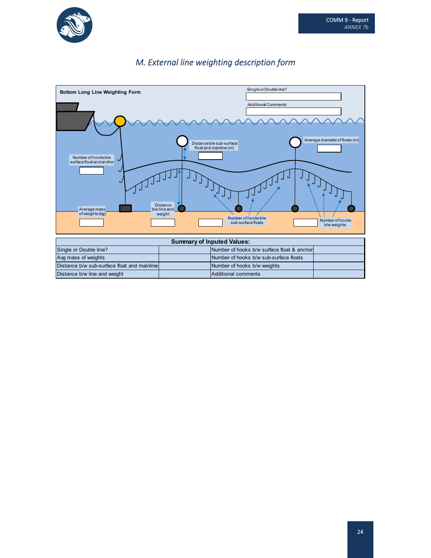

### *M. External line weighting description form*

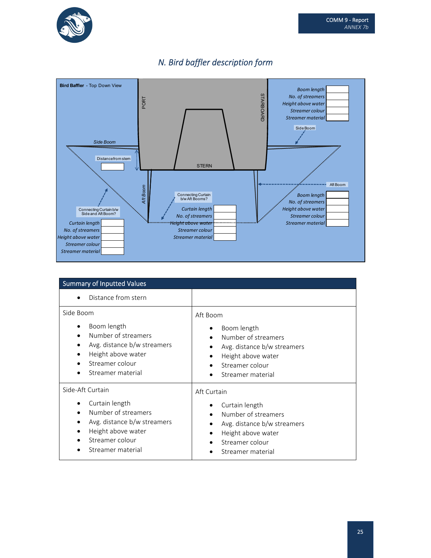





| <b>Summary of Inputted Values</b>                                                                                                                                        |                                                                                                                                             |
|--------------------------------------------------------------------------------------------------------------------------------------------------------------------------|---------------------------------------------------------------------------------------------------------------------------------------------|
| Distance from stern                                                                                                                                                      |                                                                                                                                             |
| Side Boom<br>Boom length<br>٠<br>Number of streamers<br>$\bullet$<br>Avg. distance b/w streamers<br>٠<br>Height above water<br>٠<br>Streamer colour<br>Streamer material | Aft Boom<br>Boom length<br>Number of streamers<br>Avg. distance b/w streamers<br>Height above water<br>Streamer colour<br>Streamer material |
| Side-Aft Curtain                                                                                                                                                         | Aft Curtain                                                                                                                                 |
| Curtain length<br>Number of streamers<br>$\bullet$<br>Avg. distance b/w streamers<br>٠<br>Height above water<br>Streamer colour<br>Streamer material                     | Curtain length<br>٠<br>Number of streamers<br>Avg. distance b/w streamers<br>Height above water<br>Streamer colour<br>Streamer material     |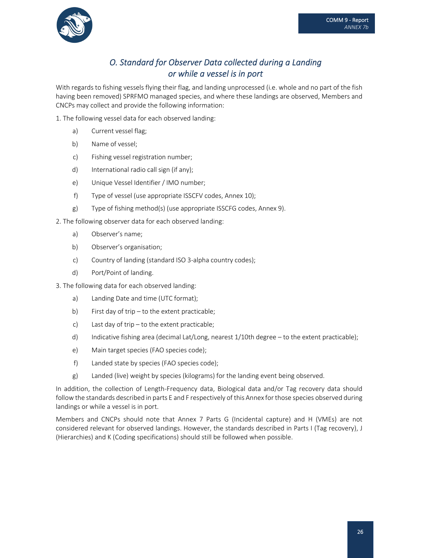

### *O. Standard for Observer Data collected during a Landing or while a vessel is in port*

With regards to fishing vessels flying their flag, and landing unprocessed (i.e. whole and no part of the fish having been removed) SPRFMO managed species, and where these landings are observed, Members and CNCPs may collect and provide the following information:

1. The following vessel data for each observed landing:

- a) Current vessel flag;
- b) Name of vessel;
- c) Fishing vessel registration number;
- d) International radio call sign (if any);
- e) Unique Vessel Identifier / IMO number;
- f) Type of vessel (use appropriate ISSCFV codes, Annex 10);
- g) Type of fishing method(s) (use appropriate ISSCFG codes, Annex 9).

2. The following observer data for each observed landing:

- a) Observer's name;
- b) Observer's organisation;
- c) Country of landing (standard ISO 3‐alpha country codes);
- d) Port/Point of landing.
- 3. The following data for each observed landing:
	- a) Landing Date and time (UTC format);
	- b) First day of trip to the extent practicable;
	- c) Last day of trip to the extent practicable;
	- d) Indicative fishing area (decimal Lat/Long, nearest 1/10th degree to the extent practicable);
	- e) Main target species (FAO species code);
	- f) Landed state by species (FAO species code);
	- g) Landed (live) weight by species (kilograms) for the landing event being observed.

In addition, the collection of Length‐Frequency data, Biological data and/or Tag recovery data should follow the standards described in parts E and F respectively of this Annex for those species observed during landings or while a vessel is in port.

Members and CNCPs should note that Annex 7 Parts G (Incidental capture) and H (VMEs) are not considered relevant for observed landings. However, the standards described in Parts I (Tag recovery), J (Hierarchies) and K (Coding specifications) should still be followed when possible.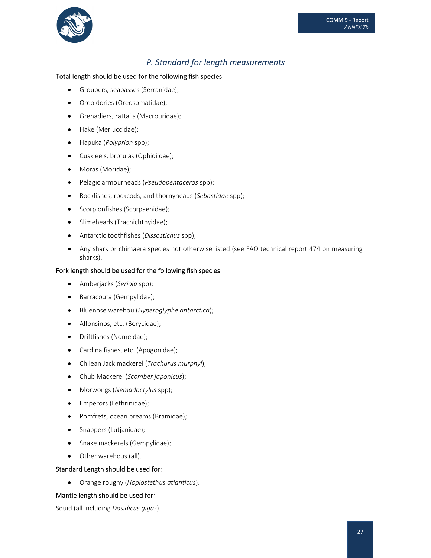

### *P. Standard for length measurements*

### Total length should be used for the following fish species:

- Groupers, seabasses (Serranidae);
- Oreo dories (Oreosomatidae);
- Grenadiers, rattails (Macrouridae);
- Hake (Merluccidae);
- Hapuka (*Polyprion* spp);
- Cusk eels, brotulas (Ophidiidae);
- Moras (Moridae);
- Pelagic armourheads (*Pseudopentaceros* spp);
- Rockfishes, rockcods, and thornyheads (*Sebastidae* spp);
- Scorpionfishes (Scorpaenidae);
- Slimeheads (Trachichthyidae);
- Antarctic toothfishes (*Dissostichus* spp);
- Any shark or chimaera species not otherwise listed (see FAO technical report 474 on measuring sharks).

#### Fork length should be used for the following fish species:

- Amberjacks (*Seriola* spp);
- Barracouta (Gempylidae);
- Bluenose warehou (*Hyperoglyphe antarctica*);
- Alfonsinos, etc. (Berycidae);
- Driftfishes (Nomeidae);
- Cardinalfishes, etc. (Apogonidae);
- Chilean Jack mackerel (*Trachurus murphyi*);
- Chub Mackerel (*Scomber japonicus*);
- Morwongs (*Nemadactylus* spp);
- Emperors (Lethrinidae);
- Pomfrets, ocean breams (Bramidae);
- Snappers (Lutjanidae);
- Snake mackerels (Gempylidae);
- Other warehous (all).

#### Standard Length should be used for:

Orange roughy (*Hoplostethus atlanticus*).

#### Mantle length should be used for:

Squid (all including *Dosidicus gigas*).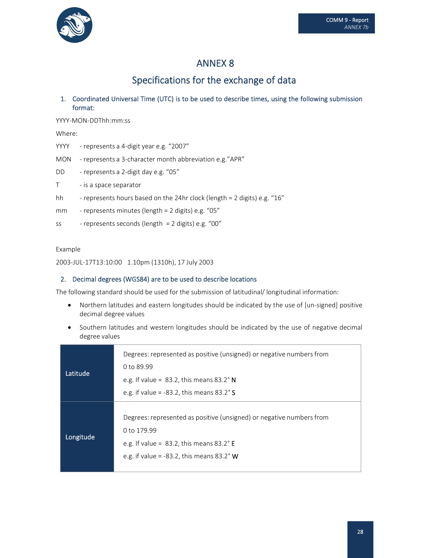

## Specifications for the exchange of data

1. Coordinated Universal Time (UTC) is to be used to describe times, using the following submission format:

YYYY‐MON‐DDThh:mm:ss

Where:

- YYYY represents a 4-digit year e.g. "2007"
- MON represents a 3-character month abbreviation e.g."APR"
- DD represents a 2-digit day e.g. "05"
- T is a space separator
- hh represents hours based on the 24hr clock (length = 2 digits) e.g. "16"
- mm ‐ represents minutes (length = 2 digits) e.g. "05"
- ss ‐ represents seconds (length = 2 digits) e.g. "00"

#### Example

2003‐JUL‐17T13:10:00 1.10pm (1310h), 17 July 2003

#### 2. Decimal degrees (WGS84) are to be used to describe locations

The following standard should be used for the submission of latitudinal/ longitudinal information:

- Northern latitudes and eastern longitudes should be indicated by the use of [un-signed] positive decimal degree values
- Southern latitudes and western longitudes should be indicated by the use of negative decimal degree values

| Latitude  | Degrees: represented as positive (unsigned) or negative numbers from<br>0 to 89.99<br>e.g. If value = $83.2$ , this means $83.2^\circ$ N<br>e.g. if value = -83.2, this means $83.2^\circ$ S      |
|-----------|---------------------------------------------------------------------------------------------------------------------------------------------------------------------------------------------------|
| Longitude | Degrees: represented as positive (unsigned) or negative numbers from<br>0 to 179.99<br>e.g. If value = $83.2$ , this means $83.2^{\circ}$ E<br>e.g. if value = -83.2, this means $83.2^{\circ}$ W |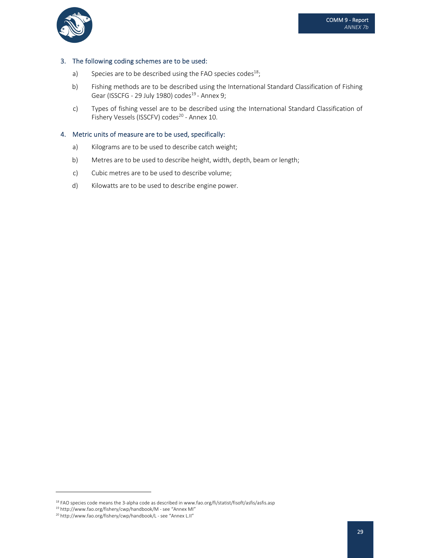

#### 3. The following coding schemes are to be used:

- a) Species are to be described using the FAO species codes<sup>18</sup>;
- b) Fishing methods are to be described using the International Standard Classification of Fishing Gear (ISSCFG - 29 July 1980) codes<sup>19</sup> - Annex 9;
- c) Types of fishing vessel are to be described using the International Standard Classification of Fishery Vessels (ISSCFV) codes<sup>20</sup> - Annex 10.

#### 4. Metric units of measure are to be used, specifically:

- a) Kilograms are to be used to describe catch weight;
- b) Metres are to be used to describe height, width, depth, beam or length;
- c) Cubic metres are to be used to describe volume;
- d) Kilowatts are to be used to describe engine power.

<sup>&</sup>lt;sup>18</sup> FAO species code means the 3-alpha code as described in www.fao.org/fi/statist/fisoft/asfis/asfis.asp

<sup>19</sup> http://www.fao.org/fishery/cwp/handbook/M ‐ see "Annex MI"

<sup>20</sup> http://www.fao.org/fishery/cwp/handbook/L ‐ see "Annex L.II"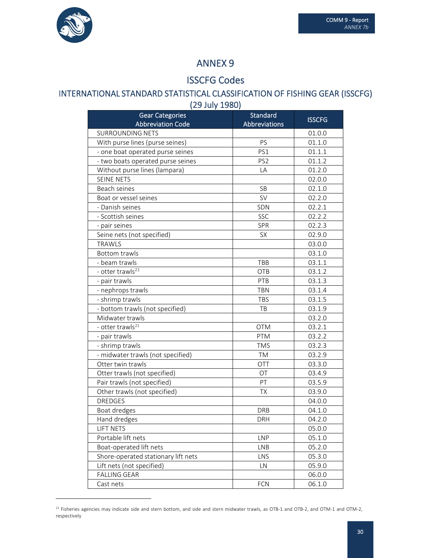

### ISSCFG Codes

# INTERNATIONAL STANDARD STATISTICAL CLASSIFICATION OF FISHING GEAR (ISSCFG)

(29 July 1980)

| <b>Gear Categories</b>              | Standard             | <b>ISSCFG</b> |
|-------------------------------------|----------------------|---------------|
| <b>Abbreviation Code</b>            | <b>Abbreviations</b> |               |
| <b>SURROUNDING NETS</b>             |                      | 01.0.0        |
| With purse lines (purse seines)     | PS                   | 01.1.0        |
| - one boat operated purse seines    | PS1                  | 01.1.1        |
| - two boats operated purse seines   | PS <sub>2</sub>      | 01.1.2        |
| Without purse lines (lampara)       | LA                   | 01.2.0        |
| <b>SEINE NETS</b>                   |                      | 02.0.0        |
| Beach seines                        | SB                   | 02.1.0        |
| Boat or vessel seines               | <b>SV</b>            | 02.2.0        |
| - Danish seines                     | SDN                  | 02.2.1        |
| - Scottish seines                   | <b>SSC</b>           | 02.2.2        |
| - pair seines                       | <b>SPR</b>           | 02.2.3        |
| Seine nets (not specified)          | <b>SX</b>            | 02.9.0        |
| <b>TRAWLS</b>                       |                      | 03.0.0        |
| <b>Bottom trawls</b>                |                      | 03.1.0        |
| - beam trawls                       | TBB                  | 03.1.1        |
| - otter trawls <sup>21</sup>        | <b>OTB</b>           | 03.1.2        |
| - pair trawls                       | PTB                  | 03.1.3        |
| - nephrops trawls                   | <b>TBN</b>           | 03.1.4        |
| - shrimp trawls                     | <b>TBS</b>           | 03.1.5        |
| - bottom trawls (not specified)     | TB                   | 03.1.9        |
| Midwater trawls                     |                      | 03.2.0        |
| - otter trawls <sup>21</sup>        | <b>OTM</b>           | 03.2.1        |
| - pair trawls                       | <b>PTM</b>           | 03.2.2        |
| - shrimp trawls                     | <b>TMS</b>           | 03.2.3        |
| - midwater trawls (not specified)   | <b>TM</b>            | 03.2.9        |
| Otter twin trawls                   | OTT                  | 03.3.0        |
| Otter trawls (not specified)        | OT                   | 03.4.9        |
| Pair trawls (not specified)         | PT                   | 03.5.9        |
| Other trawls (not specified)        | TX                   | 03.9.0        |
| <b>DREDGES</b>                      |                      | 04.0.0        |
| Boat dredges                        | <b>DRB</b>           | 04.1.0        |
| Hand dredges                        | <b>DRH</b>           | 04.2.0        |
| <b>LIFT NETS</b>                    |                      | 05.0.0        |
| Portable lift nets                  | <b>LNP</b>           | 05.1.0        |
| Boat-operated lift nets             | <b>LNB</b>           | 05.2.0        |
| Shore-operated stationary lift nets | LNS                  | 05.3.0        |
| Lift nets (not specified)           | LN                   | 05.9.0        |
| <b>FALLING GEAR</b>                 |                      | 06.0.0        |
| Cast nets                           | <b>FCN</b>           | 06.1.0        |

 $^{21}$  Fisheries agencies may indicate side and stern bottom, and side and stern midwater trawls, as OTB-1 and OTB-2, and OTM-1 and OTM-2, respectively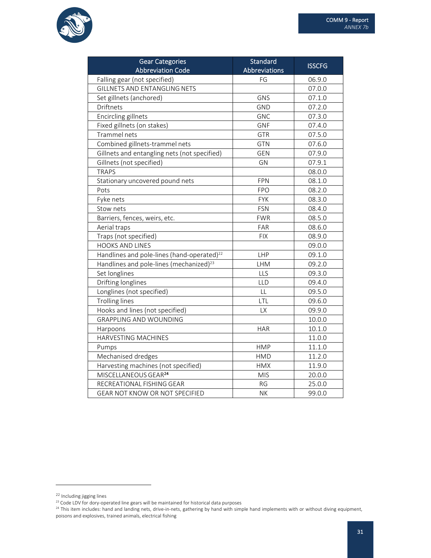

| <b>Gear Categories</b><br><b>Abbreviation Code</b>     | Standard<br>Abbreviations | <b>ISSCFG</b> |
|--------------------------------------------------------|---------------------------|---------------|
| Falling gear (not specified)                           | FG                        | 06.9.0        |
| <b>GILLNETS AND ENTANGLING NETS</b>                    |                           | 07.0.0        |
| Set gillnets (anchored)                                | GNS                       | 07.1.0        |
| Driftnets                                              | <b>GND</b>                | 07.2.0        |
| Encircling gillnets                                    | <b>GNC</b>                | 07.3.0        |
| Fixed gillnets (on stakes)                             | <b>GNF</b>                | 07.4.0        |
| Trammel nets                                           | <b>GTR</b>                | 07.5.0        |
| Combined gillnets-trammel nets                         | <b>GTN</b>                | 07.6.0        |
| Gillnets and entangling nets (not specified)           | <b>GEN</b>                | 07.9.0        |
| Gillnets (not specified)                               | GN                        | 07.9.1        |
| <b>TRAPS</b>                                           |                           | 08.0.0        |
| Stationary uncovered pound nets                        | <b>FPN</b>                | 08.1.0        |
| Pots                                                   | <b>FPO</b>                | 08.2.0        |
| Fyke nets                                              | <b>FYK</b>                | 08.3.0        |
| Stow nets                                              | <b>FSN</b>                | 08.4.0        |
| Barriers, fences, weirs, etc.                          | <b>FWR</b>                | 08.5.0        |
| Aerial traps                                           | FAR                       | 08.6.0        |
| Traps (not specified)                                  | <b>FIX</b>                | 08.9.0        |
| <b>HOOKS AND LINES</b>                                 |                           | 09.0.0        |
| Handlines and pole-lines (hand-operated) <sup>22</sup> | LHP                       | 09.1.0        |
| Handlines and pole-lines (mechanized) <sup>23</sup>    | <b>LHM</b>                | 09.2.0        |
| Set longlines                                          | LLS                       | 09.3.0        |
| Drifting longlines                                     | LLD                       | 09.4.0        |
| Longlines (not specified)                              | LL                        | 09.5.0        |
| <b>Trolling lines</b>                                  | LTL                       | 09.6.0        |
| Hooks and lines (not specified)                        | LX                        | 09.9.0        |
| <b>GRAPPLING AND WOUNDING</b>                          |                           | 10.0.0        |
| Harpoons                                               | <b>HAR</b>                | 10.1.0        |
| HARVESTING MACHINES                                    |                           | 11.0.0        |
| Pumps                                                  | <b>HMP</b>                | 11.1.0        |
| Mechanised dredges                                     | <b>HMD</b>                | 11.2.0        |
| Harvesting machines (not specified)                    | <b>HMX</b>                | 11.9.0        |
| MISCELLANEOUS GEAR <sup>24</sup>                       | <b>MIS</b>                | 20.0.0        |
| RECREATIONAL FISHING GEAR                              | <b>RG</b>                 | 25.0.0        |
| GEAR NOT KNOW OR NOT SPECIFIED                         | <b>NK</b>                 | 99.0.0        |

<sup>22</sup> Including jigging lines

<sup>&</sup>lt;sup>23</sup> Code LDV for dory-operated line gears will be maintained for historical data purposes

 $^{24}$  This item includes: hand and landing nets, drive-in-nets, gathering by hand with simple hand implements with or without diving equipment, poisons and explosives, trained animals, electrical fishing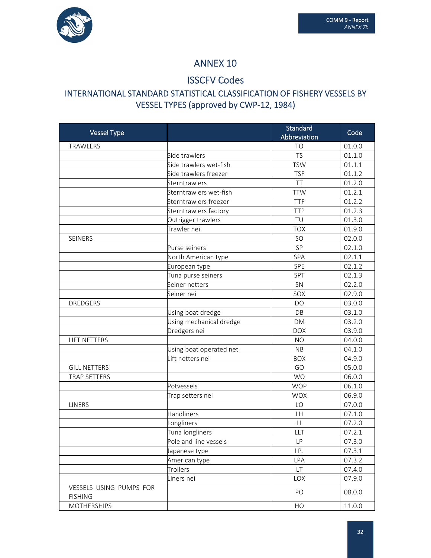

### ISSCFV Codes

### INTERNATIONAL STANDARD STATISTICAL CLASSIFICATION OF FISHERY VESSELS BY VESSEL TYPES (approved by CWP‐12, 1984)

| TRAWLERS<br>01.0.0<br>T <sub>O</sub><br>01.1.0<br>Side trawlers<br><b>TS</b><br>Side trawlers wet-fish<br><b>TSW</b><br>01.1.1<br>Side trawlers freezer<br>01.1.2<br><b>TSF</b><br>TT<br>01.2.0<br>Sterntrawlers |
|------------------------------------------------------------------------------------------------------------------------------------------------------------------------------------------------------------------|
|                                                                                                                                                                                                                  |
|                                                                                                                                                                                                                  |
|                                                                                                                                                                                                                  |
|                                                                                                                                                                                                                  |
|                                                                                                                                                                                                                  |
| Sterntrawlers wet-fish<br>01.2.1<br><b>TTW</b>                                                                                                                                                                   |
| Sterntrawlers freezer<br><b>TTF</b><br>01.2.2                                                                                                                                                                    |
| 01.2.3<br>Sterntrawlers factory<br><b>TTP</b>                                                                                                                                                                    |
| TU<br>01.3.0<br>Outrigger trawlers                                                                                                                                                                               |
| Trawler nei<br><b>TOX</b><br>01.9.0                                                                                                                                                                              |
| 02.0.0<br>SEINERS<br>SO                                                                                                                                                                                          |
| 02.1.0<br>SP<br>Purse seiners                                                                                                                                                                                    |
| 02.1.1<br>SPA<br>North American type                                                                                                                                                                             |
| 02.1.2<br>SPE<br>European type                                                                                                                                                                                   |
| 02.1.3<br>Tuna purse seiners<br>SPT                                                                                                                                                                              |
| SN<br>02.2.0<br>Seiner netters                                                                                                                                                                                   |
| SOX<br>02.9.0<br>Seiner nei                                                                                                                                                                                      |
| 03.0.0<br><b>DREDGERS</b><br>DO                                                                                                                                                                                  |
| 03.1.0<br>DB<br>Using boat dredge                                                                                                                                                                                |
| Using mechanical dredge<br>03.2.0<br><b>DM</b>                                                                                                                                                                   |
| Dredgers nei<br><b>DOX</b><br>03.9.0                                                                                                                                                                             |
| 04.0.0<br><b>LIFT NETTERS</b><br><b>NO</b>                                                                                                                                                                       |
| Using boat operated net<br>04.1.0<br><b>NB</b>                                                                                                                                                                   |
| Lift netters nei<br>04.9.0<br><b>BOX</b>                                                                                                                                                                         |
| 05.0.0<br><b>GILL NETTERS</b><br>GO                                                                                                                                                                              |
| 06.0.0<br><b>TRAP SETTERS</b><br><b>WO</b>                                                                                                                                                                       |
| <b>WOP</b><br>06.1.0<br>Potvessels                                                                                                                                                                               |
| <b>WOX</b><br>06.9.0<br>Trap setters nei                                                                                                                                                                         |
| 07.0.0<br><b>LINERS</b><br>LO                                                                                                                                                                                    |
| Handliners<br>07.1.0<br>LH                                                                                                                                                                                       |
| 07.2.0<br>Longliners<br>LL                                                                                                                                                                                       |
| Tuna longliners<br>LLT<br>07.2.1                                                                                                                                                                                 |
| Pole and line vessels<br>07.3.0<br>LP.                                                                                                                                                                           |
| 07.3.1<br><b>LPJ</b><br>Japanese type                                                                                                                                                                            |
| 07.3.2<br><b>LPA</b><br>American type                                                                                                                                                                            |
| <b>LT</b><br>Trollers<br>07.4.0                                                                                                                                                                                  |
| 07.9.0<br>Liners nei<br>LOX                                                                                                                                                                                      |
| VESSELS USING PUMPS FOR<br>PO<br>08.0.0                                                                                                                                                                          |
| <b>FISHING</b><br><b>MOTHERSHIPS</b><br>11.0.0<br>HO                                                                                                                                                             |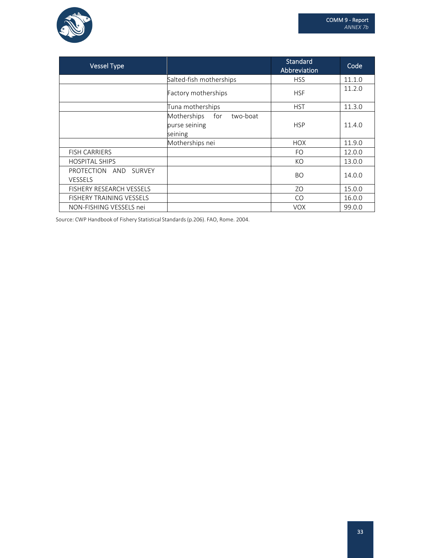

| <b>Vessel Type</b>                                   |                                                 | <b>Standard</b><br>Abbreviation | Code   |
|------------------------------------------------------|-------------------------------------------------|---------------------------------|--------|
|                                                      | Salted-fish motherships                         | <b>HSS</b>                      | 11.1.0 |
|                                                      | Factory motherships                             | <b>HSF</b>                      | 11.2.0 |
|                                                      | Tuna motherships                                | <b>HST</b>                      | 11.3.0 |
|                                                      | Motherships<br>for<br>two-boat<br>purse seining | <b>HSP</b>                      | 11.4.0 |
|                                                      | seining                                         |                                 |        |
|                                                      | Motherships nei                                 | <b>HOX</b>                      | 11.9.0 |
| <b>FISH CARRIERS</b>                                 |                                                 | FO.                             | 12.0.0 |
| <b>HOSPITAL SHIPS</b>                                |                                                 | KO                              | 13.0.0 |
| PROTECTION<br>AND<br><b>SURVEY</b><br><b>VESSELS</b> |                                                 | <b>BO</b>                       | 14.0.0 |
| <b>FISHERY RESEARCH VESSELS</b>                      |                                                 | ZO                              | 15.0.0 |
| FISHERY TRAINING VESSELS                             |                                                 | CO                              | 16.0.0 |
| NON-FISHING VESSELS nei                              |                                                 | <b>VOX</b>                      | 99.0.0 |

Source: CWP Handbook of Fishery Statistical Standards(p.206). FAO, Rome. 2004.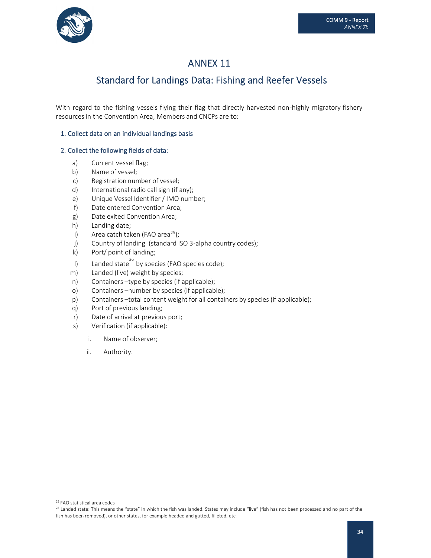

# Standard for Landings Data: Fishing and Reefer Vessels

With regard to the fishing vessels flying their flag that directly harvested non-highly migratory fishery resources in the Convention Area, Members and CNCPs are to:

### 1. Collect data on an individual landings basis

### 2. Collect the following fields of data:

- a) Current vessel flag;
- b) Name of vessel;
- c) Registration number of vessel;
- d) International radio call sign (if any);
- e) Unique Vessel Identifier / IMO number;
- f) Date entered Convention Area;
- g) Date exited Convention Area;
- h) Landing date;
- i) Area catch taken (FAO area $^{25}$ );
- j) Country of landing (standard ISO 3-alpha country codes);
- k) Port/ point of landing;
- I) Landed state  $^{26}$  by species (FAO species code);
- m) Landed (live) weight by species;
- n) Containers –type by species (if applicable);
- o) Containers –number by species (if applicable);
- p) Containers –total content weight for all containers by species (if applicable);
- q) Port of previous landing;
- r) Date of arrival at previous port;
- s) Verification (if applicable):
	- i. Name of observer;
	- ii. Authority.

<sup>25</sup> FAO statistical area codes

<sup>&</sup>lt;sup>26</sup> Landed state: This means the "state" in which the fish was landed. States may include "live" (fish has not been processed and no part of the fish has been removed), or other states, for example headed and gutted, filleted, etc.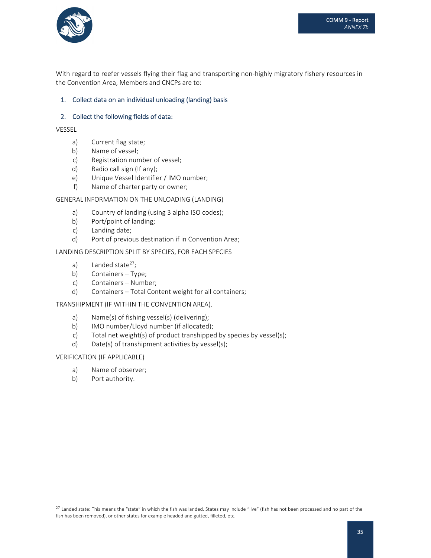

With regard to reefer vessels flying their flag and transporting non-highly migratory fishery resources in the Convention Area, Members and CNCPs are to:

### 1. Collect data on an individual unloading (landing) basis

### 2. Collect the following fields of data:

VESSEL

- a) Current flag state;
- b) Name of vessel;
- c) Registration number of vessel;
- d) Radio call sign (If any);
- e) Unique Vessel Identifier / IMO number;
- f) Name of charter party or owner;

#### GENERAL INFORMATION ON THE UNLOADING (LANDING)

- a) Country of landing (using 3 alpha ISO codes);
- b) Port/point of landing;
- c) Landing date;
- d) Port of previous destination if in Convention Area;

#### LANDING DESCRIPTION SPLIT BY SPECIES, FOR EACH SPECIES

- a) Landed state $27$ ;
- b) Containers Type;
- c) Containers Number;
- d) Containers Total Content weight for all containers;

#### TRANSHIPMENT (IF WITHIN THE CONVENTION AREA).

- a) Name(s) of fishing vessel(s) (delivering);
- b) IMO number/Lloyd number (if allocated);
- c) Total net weight(s) of product transhipped by species by vessel(s);
- d) Date(s) of transhipment activities by vessel(s);

#### VERIFICATION (IF APPLICABLE)

- a) Name of observer;
- b) Port authority.

<sup>&</sup>lt;sup>27</sup> Landed state: This means the "state" in which the fish was landed. States may include "live" (fish has not been processed and no part of the fish has been removed), or other states for example headed and gutted, filleted, etc.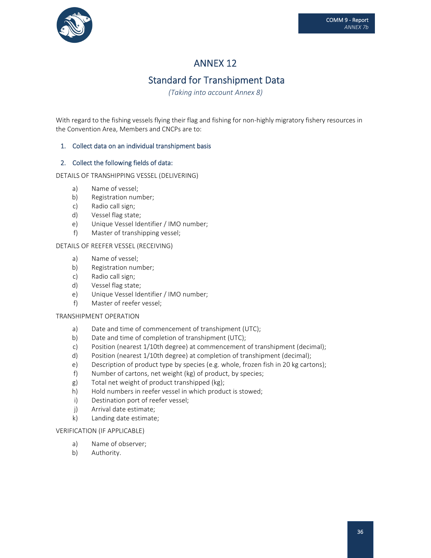

# Standard for Transhipment Data

*(Taking into account Annex 8)*

With regard to the fishing vessels flying their flag and fishing for non-highly migratory fishery resources in the Convention Area, Members and CNCPs are to:

### 1. Collect data on an individual transhipment basis

### 2. Collect the following fields of data:

DETAILS OF TRANSHIPPING VESSEL (DELIVERING)

- a) Name of vessel;
- b) Registration number;
- c) Radio call sign;
- d) Vessel flag state;
- e) Unique Vessel Identifier / IMO number;
- f) Master of transhipping vessel;

#### DETAILS OF REEFER VESSEL (RECEIVING)

- a) Name of vessel;
- b) Registration number;
- c) Radio call sign;
- d) Vessel flag state;
- e) Unique Vessel Identifier / IMO number;
- f) Master of reefer vessel;

#### TRANSHIPMENT OPERATION

- a) Date and time of commencement of transhipment (UTC);
- b) Date and time of completion of transhipment (UTC);
- c) Position (nearest 1/10th degree) at commencement of transhipment (decimal);
- d) Position (nearest 1/10th degree) at completion of transhipment (decimal);
- e) Description of product type by species (e.g. whole, frozen fish in 20 kg cartons);
- f) Number of cartons, net weight (kg) of product, by species;
- g) Total net weight of product transhipped (kg);
- h) Hold numbers in reefer vessel in which product is stowed;
- i) Destination port of reefer vessel;
- j) Arrival date estimate;
- k) Landing date estimate;

#### VERIFICATION (IF APPLICABLE)

- a) Name of observer;
- b) Authority.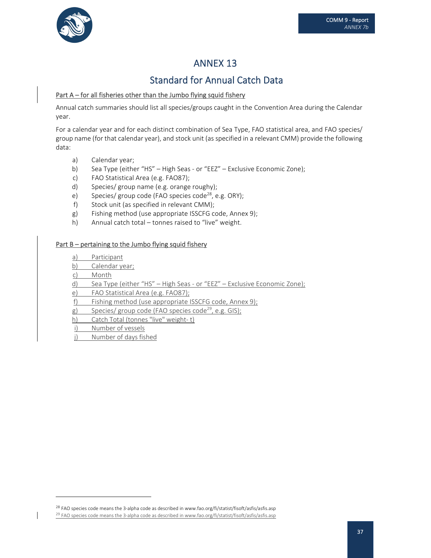

# Standard for Annual Catch Data

### Part  $A$  – for all fisheries other than the Jumbo flying squid fishery

Annual catch summaries should list all species/groups caught in the Convention Area during the Calendar year.

For a calendar year and for each distinct combination of Sea Type, FAO statistical area, and FAO species/ group name (for that calendar year), and stock unit (as specified in a relevant CMM) provide the following data:

- a) Calendar year;
- b) Sea Type (either "HS" High Seas or "EEZ" Exclusive Economic Zone);
- c) FAO Statistical Area (e.g. FAO87);
- d) Species/ group name (e.g. orange roughy);
- e) Species/ group code (FAO species code<sup>28</sup>, e.g. ORY);
- f) Stock unit (as specified in relevant CMM);
- g) Fishing method (use appropriate ISSCFG code, Annex 9);
- h) Annual catch total tonnes raised to "live" weight.

### Part B – pertaining to the Jumbo flying squid fishery

- a) Participant
- b) Calendar year;
- c) Month
- d) Sea Type (either "HS" High Seas ‐ or "EEZ" Exclusive Economic Zone);
- e) FAO Statistical Area (e.g. FAO87);
- f) Fishing method (use appropriate ISSCFG code, Annex 9);
- g) Species/ group code (FAO species code<sup>29</sup>, e.g. GIS);
- h) Catch Total (tonnes "live" weight-t)
- i) Number of vessels
- j) Number of days fished

<sup>&</sup>lt;sup>28</sup> FAO species code means the 3-alpha code as described in www.fao.org/fi/statist/fisoft/asfis/asfis.asp

<sup>&</sup>lt;sup>29</sup> FAO species code means the 3-alpha code as described in www.fao.org/fi/statist/fisoft/asfis/asfis.asp